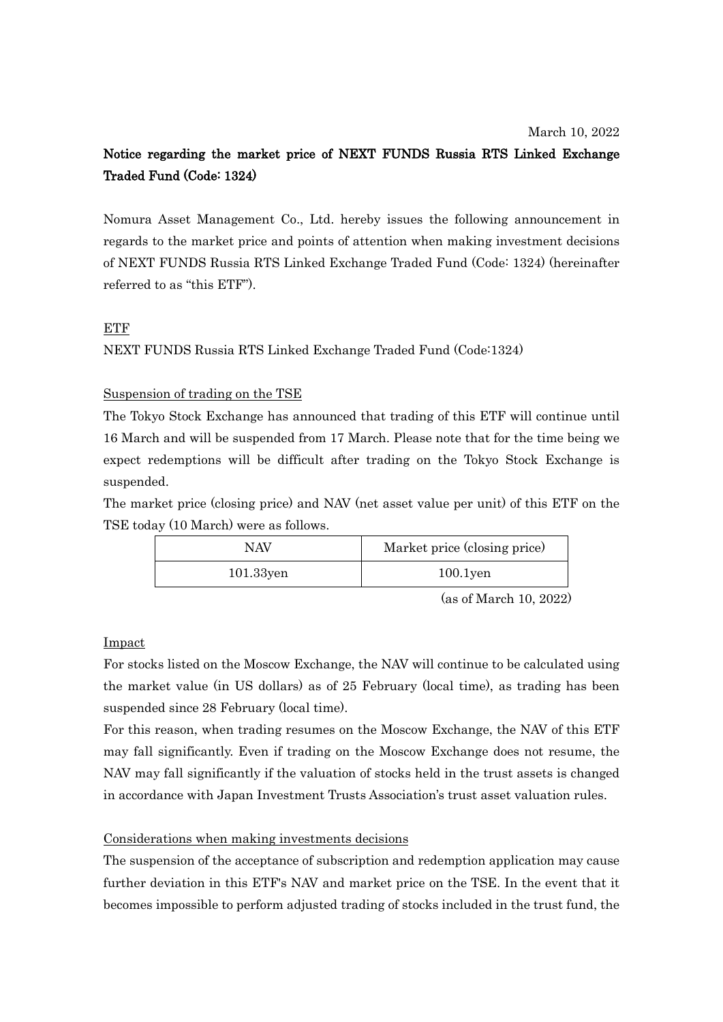# Notice regarding the market price of NEXT FUNDS Russia RTS Linked Exchange Traded Fund (Code: 1324)

Nomura Asset Management Co., Ltd. hereby issues the following announcement in regards to the market price and points of attention when making investment decisions of NEXT FUNDS Russia RTS Linked Exchange Traded Fund (Code: 1324) (hereinafter referred to as "this ETF").

# ETF

NEXT FUNDS Russia RTS Linked Exchange Traded Fund (Code:1324)

# Suspension of trading on the TSE

The Tokyo Stock Exchange has announced that trading of this ETF will continue until 16 March and will be suspended from 17 March. Please note that for the time being we expect redemptions will be difficult after trading on the Tokyo Stock Exchange is suspended.

The market price (closing price) and NAV (net asset value per unit) of this ETF on the TSE today (10 March) were as follows.

| NAV          | Market price (closing price) |
|--------------|------------------------------|
| $101.33$ yen | $100.1$ yen                  |

(as of March 10, 2022)

### Impact

For stocks listed on the Moscow Exchange, the NAV will continue to be calculated using the market value (in US dollars) as of 25 February (local time), as trading has been suspended since 28 February (local time).

For this reason, when trading resumes on the Moscow Exchange, the NAV of this ETF may fall significantly. Even if trading on the Moscow Exchange does not resume, the NAV may fall significantly if the valuation of stocks held in the trust assets is changed in accordance with Japan Investment Trusts Association's trust asset valuation rules.

### Considerations when making investments decisions

The suspension of the acceptance of subscription and redemption application may cause further deviation in this ETF's NAV and market price on the TSE. In the event that it becomes impossible to perform adjusted trading of stocks included in the trust fund, the